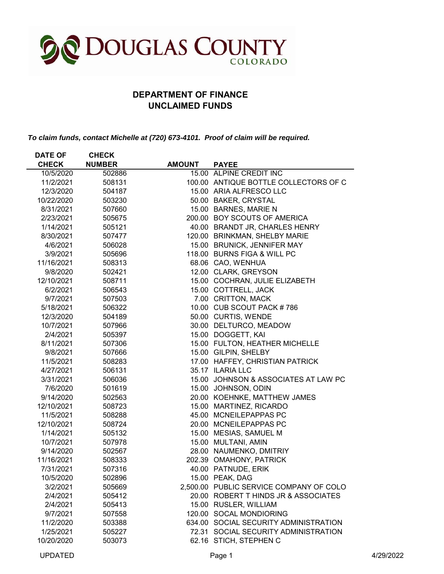

## **DEPARTMENT OF FINANCE UNCLAIMED FUNDS**

*To claim funds, contact Michelle at (720) 673-4101. Proof of claim will be required.*

| <b>DATE OF</b> | <b>CHECK</b>  |               |                                         |
|----------------|---------------|---------------|-----------------------------------------|
| <b>CHECK</b>   | <b>NUMBER</b> | <b>AMOUNT</b> | <b>PAYEE</b>                            |
| 10/5/2020      | 502886        |               | 15.00 ALPINE CREDIT INC                 |
| 11/2/2021      | 508131        |               | 100.00 ANTIQUE BOTTLE COLLECTORS OF C   |
| 12/3/2020      | 504187        |               | 15.00 ARIA ALFRESCO LLC                 |
| 10/22/2020     | 503230        |               | 50.00 BAKER, CRYSTAL                    |
| 8/31/2021      | 507660        |               | 15.00 BARNES, MARIE N                   |
| 2/23/2021      | 505675        |               | 200.00 BOY SCOUTS OF AMERICA            |
| 1/14/2021      | 505121        |               | 40.00 BRANDT JR, CHARLES HENRY          |
| 8/30/2021      | 507477        |               | 120.00 BRINKMAN, SHELBY MARIE           |
| 4/6/2021       | 506028        |               | 15.00 BRUNICK, JENNIFER MAY             |
| 3/9/2021       | 505696        |               | 118.00 BURNS FIGA & WILL PC             |
| 11/16/2021     | 508313        |               | 68.06 CAO, WENHUA                       |
| 9/8/2020       | 502421        |               | 12.00 CLARK, GREYSON                    |
| 12/10/2021     | 508711        |               | 15.00 COCHRAN, JULIE ELIZABETH          |
| 6/2/2021       | 506543        |               | 15.00 COTTRELL, JACK                    |
| 9/7/2021       | 507503        |               | 7.00 CRITTON, MACK                      |
| 5/18/2021      | 506322        |               | 10.00 CUB SCOUT PACK #786               |
| 12/3/2020      | 504189        |               | 50.00 CURTIS, WENDE                     |
| 10/7/2021      | 507966        |               | 30.00 DELTURCO, MEADOW                  |
| 2/4/2021       | 505397        |               | 15.00 DOGGETT, KAI                      |
| 8/11/2021      | 507306        |               | 15.00 FULTON, HEATHER MICHELLE          |
| 9/8/2021       | 507666        |               | 15.00 GILPIN, SHELBY                    |
| 11/5/2021      | 508283        |               | 17.00 HAFFEY, CHRISTIAN PATRICK         |
| 4/27/2021      | 506131        |               | 35.17 ILARIA LLC                        |
| 3/31/2021      | 506036        |               | 15.00 JOHNSON & ASSOCIATES AT LAW PC    |
| 7/6/2020       | 501619        |               | 15.00 JOHNSON, ODIN                     |
| 9/14/2020      | 502563        |               | 20.00 KOEHNKE, MATTHEW JAMES            |
| 12/10/2021     | 508723        |               | 15.00 MARTINEZ, RICARDO                 |
| 11/5/2021      | 508288        |               | 45.00 MCNEILEPAPPAS PC                  |
| 12/10/2021     | 508724        |               | 20.00 MCNEILEPAPPAS PC                  |
| 1/14/2021      | 505132        |               | 15.00 MESIAS, SAMUEL M                  |
| 10/7/2021      | 507978        |               | 15.00 MULTANI, AMIN                     |
| 9/14/2020      | 502567        |               | 28.00 NAUMENKO, DMITRIY                 |
| 11/16/2021     | 508333        |               | 202.39 OMAHONY, PATRICK                 |
| 7/31/2021      | 507316        |               | 40.00 PATNUDE, ERIK                     |
| 10/5/2020      | 502896        |               | 15.00 PEAK, DAG                         |
| 3/2/2021       | 505669        |               | 2,500.00 PUBLIC SERVICE COMPANY OF COLO |
| 2/4/2021       | 505412        |               | 20.00 ROBERT T HINDS JR & ASSOCIATES    |
| 2/4/2021       | 505413        |               | 15.00 RUSLER, WILLIAM                   |
| 9/7/2021       | 507558        |               | 120.00 SOCAL MONDIORING                 |
| 11/2/2020      | 503388        |               | 634.00 SOCIAL SECURITY ADMINISTRATION   |
| 1/25/2021      | 505227        |               | 72.31 SOCIAL SECURITY ADMINISTRATION    |
| 10/20/2020     | 503073        |               | 62.16 STICH, STEPHEN C                  |